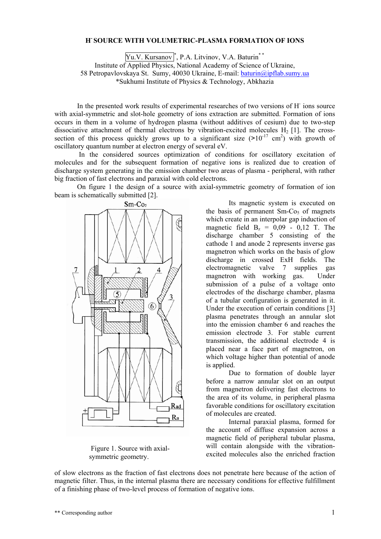## **Н- SOURCE WITH VOLUMETRIC-PLASMA FORMATION OF IONS**

Yu.V. Kursanov<sup>\*</sup>, P.A. Litvinov, V.A. Baturin<sup>\*\*</sup> Institute of Applied Physics, National Academy of Science of Ukraine, 58 Petropavlovskaya St. Sumy, 40030 Ukraine, E-mail: [baturin@ipflab.sumy.ua](mailto:baturin@ipflab.sumy.ua)  \*Sukhumi Institute of Physics & Technology, Abkhazia

In the presented work results of experimental researches of two versions of H- ions source with axial-symmetric and slot-hole geometry of ions extraction are submitted. Formation of ions occurs in them in a volume of hydrogen plasma (without additives of cesium) due to two-step dissociative attachment of thermal electrons by vibration-excited molecules  $H<sub>2</sub>$  [1]. The crosssection of this process quickly grows up to a significant size  $(>10^{-17} \text{ cm}^2)$  with growth of oscillatory quantum number at electron energy of several eV.

In the considered sources optimization of conditions for oscillatory excitation of molecules and for the subsequent formation of negative ions is realized due to creation of discharge system generating in the emission chamber two areas of plasma - peripheral, with rather big fraction of fast electrons and paraxial with cold electrons.

On figure 1 the design of a source with axial-symmetric geometry of formation of ion beam is schematically submitted [2].



Figure 1. Source with axialsymmetric geometry.

Its magnetic system is executed on the basis of permanent  $Sm-Co<sub>5</sub>$  of magnets which create in an interpolar gap induction of magnetic field  $B_z = 0.09 - 0.12$  T. The discharge chamber 5 consisting of the cathode 1 and anode 2 represents inverse gas magnetron which works on the basis of glow discharge in crossed ExH fields. The electromagnetic valve 7 supplies gas magnetron with working gas. Under submission of a pulse of a voltage onto electrodes of the discharge chamber, plasma of a tubular configuration is generated in it. Under the execution of certain conditions [3] plasma penetrates through an annular slot into the emission chamber 6 and reaches the emission electrode 3. For stable current transmission, the additional electrode 4 is placed near a face part of magnetron, on which voltage higher than potential of anode is applied.

Due to formation of double layer before a narrow annular slot on an output from magnetron delivering fast electrons to the area of its volume, in peripheral plasma favorable conditions for oscillatory excitation of molecules are created.

Internal paraxial plasma, formed for the account of diffuse expansion across a magnetic field of peripheral tubular plasma, will contain alongside with the vibrationexcited molecules also the enriched fraction

of slow electrons as the fraction of fast electrons does not penetrate here because of the action of magnetic filter. Thus, in the internal plasma there are necessary conditions for effective fulfillment of a finishing phase of two-level process of formation of negative ions.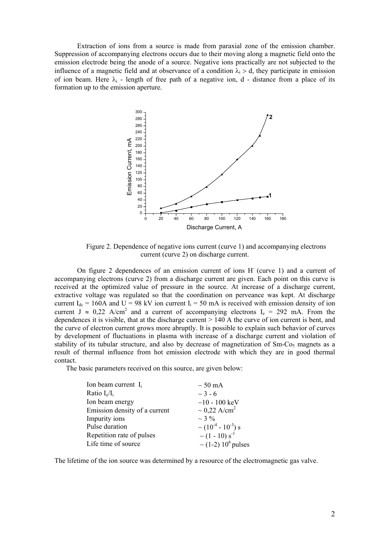Extraction of ions from a source is made from paraxial zone of the emission chamber. Suppression of accompanying electrons occurs due to their moving along a magnetic field onto the emission electrode being the anode of a source. Negative ions practically are not subjected to the influence of a magnetic field and at observance of a condition  $\lambda_i > d$ , they participate in emission of ion beam. Here  $\lambda_i$  - length of free path of a negative ion, d - distance from a place of its formation up to the emission aperture.



Figure 2. Dependence of negative ions current (curve 1) and accompanying electrons current (curve 2) on discharge current.

On figure 2 dependences of an emission current of ions H (curve 1) and a current of accompanying electrons (curve 2) from a discharge current are given. Each point on this curve is received at the optimized value of pressure in the source. At increase of a discharge current, extractive voltage was regulated so that the coordination on perveance was kept. At discharge current  $I_{dc}$  = 160A and U = 98 kV ion current  $I_i$  = 50 mA is received with emission density of ion current J  $\approx 0.22$  A/cm<sup>2</sup> and a current of accompanying electrons I<sub>e</sub> = 292 mA. From the dependences it is visible, that at the discharge current  $> 140$  A the curve of ion current is bent, and the curve of electron current grows more abruptly. It is possible to explain such behavior of curves by development of fluctuations in plasma with increase of a discharge current and violation of stability of its tubular structure, and also by decrease of magnetization of Sm-Co<sub>5</sub> magnets as a result of thermal influence from hot emission electrode with which they are in good thermal contact.

The basic parameters received on this source, are given below:

| Ion beam current $I_i$        | $-50$ mA                      |
|-------------------------------|-------------------------------|
| Ratio $I_e/I_i$               | $-3-6$                        |
| Ion beam energy               | $-10 - 100$ keV               |
| Emission density of a current | $\sim 0.22$ A/cm <sup>2</sup> |
| Impurity ions                 | $\sim$ 3 %                    |
| Pulse duration                | $- (10^{-4} - 10^{-3})$ s     |
| Repetition rate of pulses     | $-(1 - 10) s^{-1}$            |
| Life time of source           | $- (1-2) 10^6$ pulses         |

The lifetime of the ion source was determined by a resource of the electromagnetic gas valve.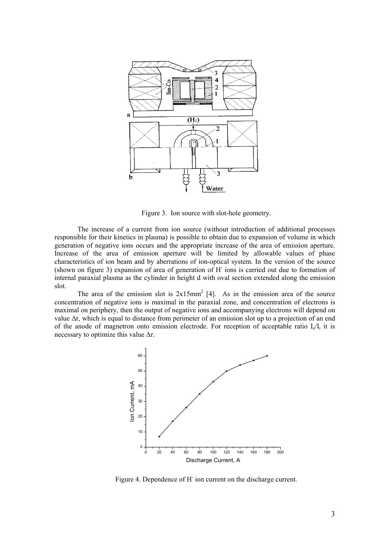

Figure 3. Ion source with slot-hole geometry.

The increase of a current from ion source (without introduction of additional processes responsible for their kinetics in plasma) is possible to obtain due to expansion of volume in which generation of negative ions occurs and the appropriate increase of the area of emission aperture. Increase of the area of emission aperture will be limited by allowable values of phase characteristics of ion beam and by aberrations of ion-optical system. In the version of the source (shown on figure 3) expansion of area of generation of H- ions is carried out due to formation of internal paraxial plasma as the cylinder in height d with oval section extended along the emission slot.

The area of the emission slot is  $2x15mm^2$  [4]. As in the emission area of the source concentration of negative ions is maximal in the paraxial zone, and concentration of electrons is maximal on periphery, then the output of negative ions and accompanying electrons will depend on value ∆r, which is equal to distance from perimeter of an emission slot up to a projection of an end of the anode of magnetron onto emission electrode. For reception of acceptable ratio  $I_{e}/I_{i}$  it is necessary to optimize this value  $\Delta r$ .



Figure 4. Dependence of H<sup>-</sup> ion current on the discharge current.